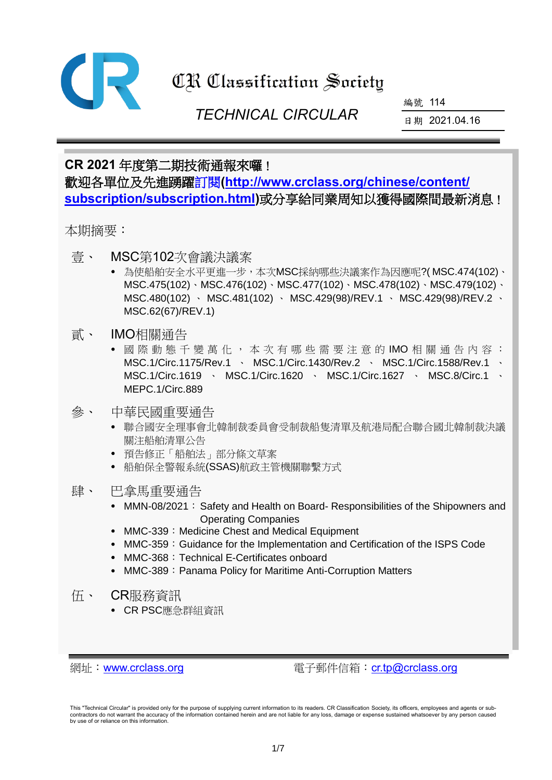

# **CR Classification Society**

 *TECHNICAL CIRCULAR*

編號 114

日期 2021.04.16

## **CR 2021** 年度第二期技術通報來囉! 歡迎各單位及先進踴[躍訂閱](https://www.crclass.org/chinese/content/subscription/subscription.html)**[\(http://www.crclass.org/chinese/content/](http://www.crclass.org/chinese/content/subscription/subscription.html) [subscription/subscription.html\)](http://www.crclass.org/chinese/content/subscription/subscription.html)**或分享給同業周知以獲得國際間最新消息!

本期摘要:

- 壹、 MSC第102次會議決議案
	- 為使船舶安全水平更進一步,本次MSC採納哪些決議案作為因應呢?( MSC.474(102)、 MSC.475(102)、MSC.476(102)、MSC.477(102)、MSC.478(102)、MSC.479(102)、 MSC.480(102) 、 MSC.481(102) 、 MSC.429(98)/REV.1 、 MSC.429(98)/REV.2 、 MSC.62(67)/REV.1)
- 貳、 IMO相關通告
	- 國 際 動 態 千 變 萬 化 , 本 次 有 哪 些 需 要 注 意 的 IMO 相 關 通 告 內 容 : MSC.1/Circ.1175/Rev.1 MSC.1/Circ.1430/Rev.2 MSC.1/Circ.1588/Rev.1 MSC.1/Circ.1619 · MSC.1/Circ.1620 · MSC.1/Circ.1627 · MSC.8/Circ.1 MEPC.1/Circ.889
- 參、 中華民國重要通告
	- 聯合國安全理事會北韓制裁委員會受制裁船隻清單及航港局配合聯合國北韓制裁決議 關注船舶清單公告
	- 預告修正「船舶法」部分條文草案
	- 船舶保全警報系統(SSAS)航政主管機關聯繫方式
- 肆、 巴拿馬重要通告
	- MMN-08/2021: Safety and Health on Board- Responsibilities of the Shipowners and Operating Companies
	- MMC-339: Medicine Chest and Medical Equipment
	- MMC-359: Guidance for the Implementation and Certification of the ISPS Code
	- MMC-368: Technical E-Certificates onboard
	- MMC-389: Panama Policy for Maritime Anti-Corruption Matters
- 伍、 CR服務資訊
	- CR PSC應急群組資訊

網址: [www.crclass.org](http://www.crclass.org/) 雷子郵件信箱: [cr.tp@crclass.org](mailto:cr.tp@crclass.org)

This "Technical Circular" is provided only for the purpose of supplying current information to its readers. CR Classification Society, its officers, employees and agents or sub-<br>contractors do not warrant the accuracy of t by use of or reliance on this information.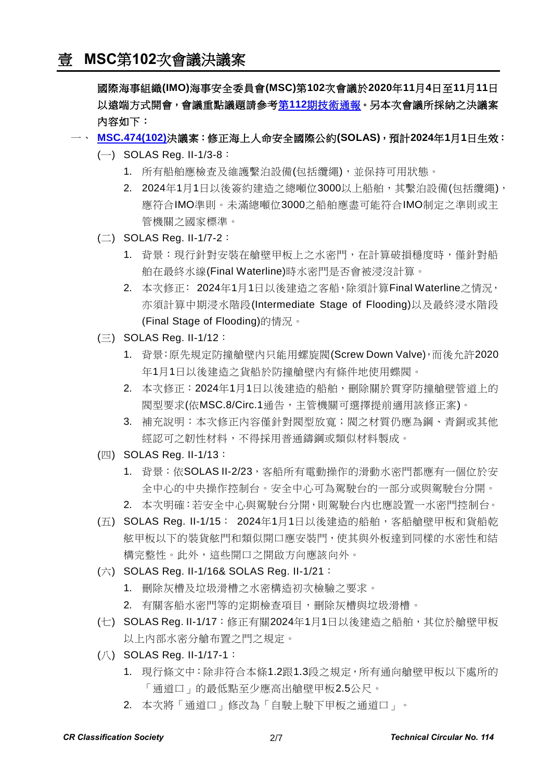國際海事組織**(IMO)**海事安全委員會**(MSC)**第**102**次會議於**2020**年**11**月**4**日至**11**月**11**日 以遠端方式開會,會議重點議題請參考第**112**[期技術通報。](https://www.crclass.org/chinese/download/ti-tc/112/112.pdf)另本次會議所採納之決議案 內容如下:

- 一、 **[MSC.474\(102\)](https://www.crclass.org/chinese/download/ti-tc/114/1-1%20MSC.474(102).pdf)**決議案:修正海上人命安全國際公約**(SOLAS)**,預計**2024**年**1**月**1**日生效:
	- $(-)$  SOLAS Reg. II-1/3-8:
		- 1. 所有船舶應檢查及維護繫泊設備(包括纜繩),並保持可用狀態。
		- 2. 2024年1月1日以後簽約建造之總噸位3000以上船舶,其繫泊設備(包括纜繩), 應符合IMO準則。未滿總噸位3000之船舶應盡可能符合IMO制定之準則或主 管機關之國家標準。
	- $(\square)$  SOLAS Reg. II-1/7-2:
		- 1. 背景:現行針對安裝在艙壁甲板上之水密門,在計算破損穩度時,僅針對船 舶在最終水線(Final Waterline)時水密門是否會被浸沒計算。
		- 2. 本次修正: 2024年1月1日以後建造之客船,除須計算Final Waterline之情況, 亦須計算中期浸水階段(Intermediate Stage of Flooding)以及最終浸水階段 (Final Stage of Flooding)的情況。
	- $(\equiv)$  SOLAS Reg. II-1/12:
		- 1. 背景:原先規定防撞艙壁內只能用螺旋閥(Screw Down Valve),而後允許2020 年1月1日以後建造之貨船於防撞艙壁內有條件地使用蝶閥。
		- 2. 本次修正:2024年1月1日以後建造的船舶,刪除關於貫穿防撞艙壁管道上的 閥型要求(依MSC.8/Circ.1通告,主管機關可選擇提前適用該修正案)。
		- 3. 補充說明:本次修正內容僅針對閥型放寬;閥之材質仍應為鋼、青銅或其他 經認可之韌性材料,不得採用普通鑄鋼或類似材料製成。
	- (四) SOLAS Reg. II-1/13:
		- 1. 背景: 依SOLAS II-2/23, 客船所有電動操作的滑動水密門都應有一個位於安 全中心的中央操作控制台。安全中心可為駕駛台的一部分或與駕駛台分開。
		- 2. 本次明確:若安全中心與駕駛台分開,則駕駛台內也應設置一水密門控制台。
	- (五) SOLAS Reg. II-1/15: 2024年1月1日以後建造的船舶,客船艙壁甲板和貨船乾 舷甲板以下的裝貨舷門和類似開口應安裝門,使其與外板達到同樣的水密性和結 構完整性。此外,這些開口之開啟方向應該向外。
	- (六) SOLAS Reg. II-1/16& SOLAS Reg. II-1/21:
		- 1. 刪除灰槽及垃圾滑槽之水密構造初次檢驗之要求。
		- 2. 有關客船水密門等的定期檢查項目,刪除灰槽與垃圾滑槽。
	- (七) SOLAS Reg. II-1/17:修正有關2024年1月1日以後建造之船舶,其位於艙壁甲板 以上內部水密分艙布置之門之規定。
	- (八) SOLAS Reg. II-1/17-1:
		- 1. 現行條文中:除非符合本條1.2跟1.3段之規定,所有通向艙壁甲板以下處所的 「通道口」的最低點至少應高出艙壁甲板2.5公尺。
		- 2. 本次將「通道口」修改為「自駛上駛下甲板之通道口」。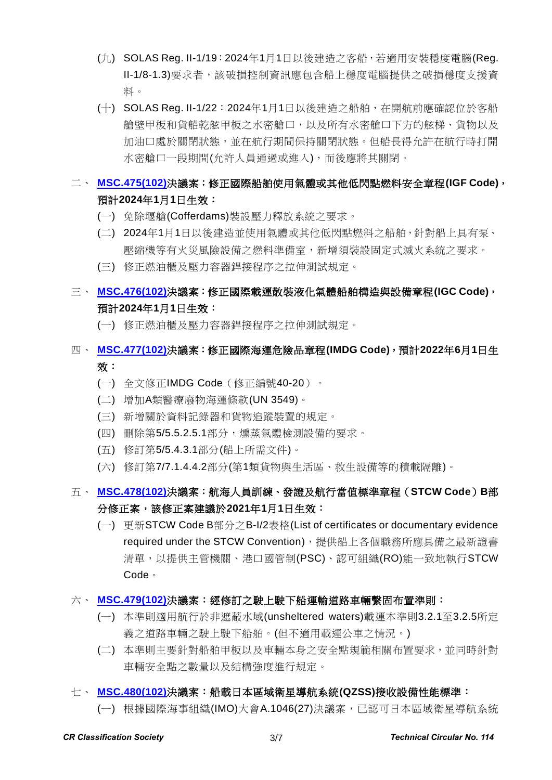- (九) SOLAS Reg. II-1/19:2024年1月1日以後建造之客船,若適用安裝穩度電腦(Reg. II-1/8-1.3)要求者,該破損控制資訊應包含船上穩度電腦提供之破損穩度支援資 料。
- (十) SOLAS Reg. II-1/22:2024年1月1日以後建造之船舶,在開航前應確認位於客船 艙壁甲板和貨船乾舷甲板之水密艙口,以及所有水密艙口下方的舷梯、貨物以及 加油口處於關閉狀態,並在航行期間保持關閉狀態。但船長得允許在航行時打開 水密艙口一段期間(允許人員通過或進入),而後應將其關閉。

### 二、 **[MSC.475\(102\)](https://www.crclass.org/chinese/download/ti-tc/114/1-2%20MSC.475(102).pdf)**決議案:修正國際船舶使用氣體或其他低閃點燃料安全章程**(IGF Code)**, 預計**2024**年**1**月**1**日生效:

- (一) 免除堰艙(Cofferdams)裝設壓力釋放系統之要求。
- (二) 2024年1月1日以後建造並使用氣體或其他低閃點燃料之船舶,針對船上具有泵、 壓縮機等有火災風險設備之燃料準備室,新增須裝設固定式滅火系統之要求。
- (三) 修正燃油櫃及壓力容器銲接程序之拉伸測試規定。

### 三、 **[MSC.476\(102\)](https://www.crclass.org/chinese/download/ti-tc/114/1-3%20MSC.476(102).pdf)**決議案:修正國際載運散裝液化氣體船舶構造與設備章程**(IGC Code)**, 預計**2024**年**1**月**1**日生效:

(一) 修正燃油櫃及壓力容器銲接程序之拉伸測試規定。

### 四、 **[MSC.477\(102\)](https://www.crclass.org/chinese/download/ti-tc/114/1-4%20MSC.477(102).pdf)**決議案:修正國際海運危險品章程**(IMDG Code)**,預計**2022**年**6**月**1**日生 效:

- (一) 全文修正IMDG Code(修正編號40-20)。
- (二) 增加A類醫療廢物海運條款(UN 3549)。
- (三) 新增關於資料記錄器和貨物追蹤裝置的規定。
- (四) 刪除第5/5.5.2.5.1部分,燻蒸氣體檢測設備的要求。
- (五) 修訂第5/5.4.3.1部分(船上所需文件)。
- (六) 修訂第7/7.1.4.4.2部分(第1類貨物與生活區、救生設備等的積載隔離)。

### 五、 **[MSC.478\(102\)](https://www.crclass.org/chinese/download/ti-tc/114/1-5%20MSC.478(102).pdf)**決議案:航海人員訓練、發證及航行當值標準章程(**STCW Code**)**B**部 分修正案,該修正案建議於**2021**年**1**月**1**日生效:

- (一) 更新STCW Code B部分之B-I/2表格(List of certificates or documentary evidence required under the STCW Convention), 提供船上各個職務所應具備之最新證書 清單,以提供主管機關、港口國管制(PSC)、認可組織(RO)能一致地執行STCW Code。
- 六、 **[MSC.479\(102\)](https://www.crclass.org/chinese/download/ti-tc/114/1-6%20MSC.479(102).pdf)**決議案:經修訂之駛上駛下船運輸道路車輛繫固布置準則:
	- (一) 本準則適用航行於非遮蔽水域(unsheltered waters)載運本準則3.2.1至3.2.5所定 義之道路車輛之駛上駛下船舶。(但不適用載運公車之情況。)
	- (二) 本準則主要針對船舶甲板以及車輛本身之安全點規範相關布置要求,並同時針對 車輛安全點之數量以及結構強度進行規定。

#### 七、 **[MSC.480\(102\)](https://www.crclass.org/chinese/download/ti-tc/114/1-7%20MSC.480(102).pdf)**決議案:船載日本區域衛星導航系統**(QZSS)**接收設備性能標準:

(一) 根據國際海事組織(IMO)大會A.1046(27)決議案,已認可日本區域衛星導航系統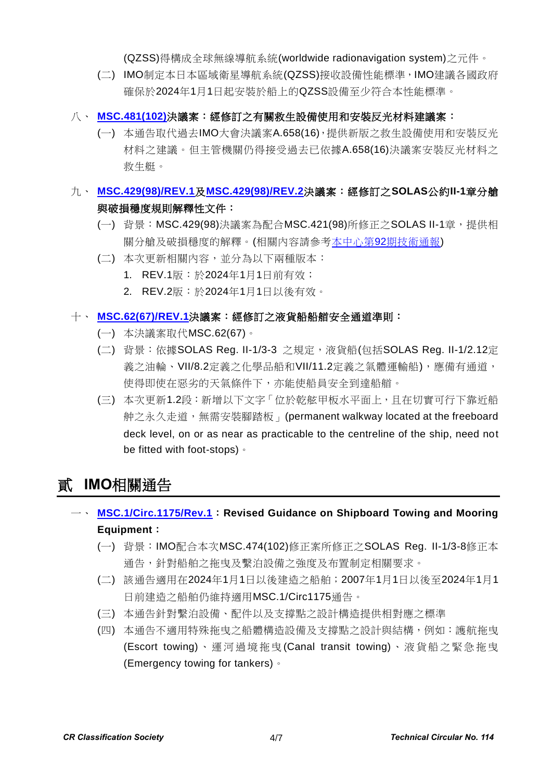(QZSS)得構成全球無線導航系統(worldwide radionavigation system)之元件。

- (二) IMO制定本日本區域衛星導航系統(QZSS)接收設備性能標準,IMO建議各國政府 確保於2024年1月1日起安裝於船上的QZSS設備至少符合本性能標準。
- 八、 **[MSC.481\(102\)](https://www.crclass.org/chinese/download/ti-tc/114/1-8%20MSC.481(102).pdf)**決議案:經修訂之有關救生設備使用和安裝反光材料建議案:
	- (一) 本通告取代過去IMO大會決議案A.658(16),提供新版之救生設備使用和安裝反光 材料之建議。但主管機關仍得接受過去已依據A.658(16)決議案安裝反光材料之 救生艇。

### 九、 **[MSC.429\(98\)/REV.1](https://www.crclass.org/chinese/download/ti-tc/114/1-9%20MSC.429(98)Rev1.pdf)**及**[MSC.429\(98\)/REV.2](https://www.crclass.org/chinese/download/ti-tc/114/1-10%20MSC.429(98)rev2.pdf)**決議案:經修訂之**SOLAS**公約**II-1**章分艙 與破損穩度規則解釋性文件:

- (一) 背景: MSC.429(98)決議案為配合MSC.421(98)所修正之SOLAS II-1章, 提供相 關分艙及破損穩度的解釋。(相關內容請參考本中心第92[期技術通報](https://www.crclass.org/chinese/download/ti-tc/92/92.pdf))
- (二) 本次更新相關內容,並分為以下兩種版本:
	- 1. REV.1版:於2024年1月1日前有效;
	- 2. REV.2版:於2024年1月1日以後有效。

### 十、 **[MSC.62\(67\)/REV.1](https://www.crclass.org/chinese/download/ti-tc/114/1-11%20MSC.62(67)Rev1.pdf)**決議案:經修訂之液貨船船艏安全通道準則:

- (一) 本決議案取代MSC.62(67)。
- (二) 背景:依據SOLAS Reg. II-1/3-3 之規定,液貨船(包括SOLAS Reg. II-1/2.12定 義之油輪、VII/8.2定義之化學品船和VII/11.2定義之氣體運輸船),應備有通道, 使得即使在惡劣的天氣條件下,亦能使船員安全到達船艏。
- (三) 本次更新1.2段:新增以下文字「位於乾舷甲板水平面上,且在切實可行下靠近船 舯之永久走道,無需安裝腳踏板」(permanent walkway located at the freeboard deck level, on or as near as practicable to the centreline of the ship, need not be fitted with foot-stops)。

# 貳 **IMO**相關通告

- 一、 **[MSC.1/Circ.1175/Rev.1](https://www.crclass.org/chinese/download/ti-tc/114/2-1%20MSC.1-Circ.1175-Rev.1%20-%20Re-issued%20to%20refer%20to%20the%20correct%20resolution%20MSC.474(102)%20in%20paragraph%202%20of%20the%20cover%20shee...%20(Secretariat).pdf)**:**Revised Guidance on Shipboard Towing and Mooring Equipment**:
	- (一) 背景:IMO配合本次MSC.474(102)修正案所修正之SOLAS Reg. II-1/3-8修正本 通告,針對船舶之拖曳及繫泊設備之強度及布置制定相關要求。
	- (二) 該通告適用在2024年1月1日以後建造之船舶;2007年1月1日以後至2024年1月1 日前建造之船舶仍維持適用MSC.1/Circ1175通告。
	- (三) 本通告針對繫泊設備、配件以及支撐點之設計構造提供相對應之標準
	- (四) 本通告不適用特殊拖曳之船體構造設備及支撐點之設計與結構,例如:護航拖曳 (Escort towing)、運 河過 境 拖曳 (Canal transit towing)、液 貨 船之緊 急 拖曳 (Emergency towing for tankers)。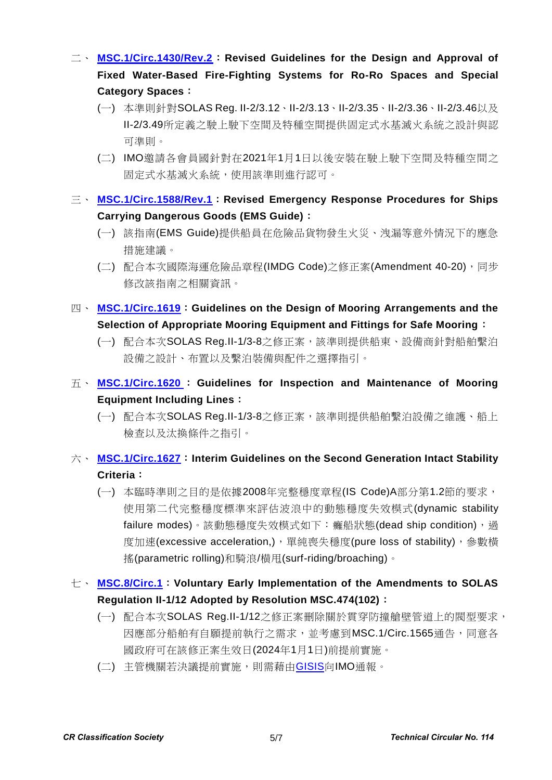- 二、 **[MSC.1/Circ.1430/Rev.2](https://www.crclass.org/chinese/download/ti-tc/114/2-2%20MSC.1-Circ.1430-Rev.2%20-%20Revised%20Guidelines%20For%20The%20Design%20And%20Approval%20OfFixed%20Water-Based%20Fire-Fighting%20Systems%20F...%20(Secretariat)%20(1).pdf)**:**Revised Guidelines for the Design and Approval of Fixed Water-Based Fire-Fighting Systems for Ro-Ro Spaces and Special Category Spaces**:
	- (一) 本準則針對SOLAS Reg. II-2/3.12、II-2/3.13、II-2/3.35、II-2/3.36、II-2/3.46以及 II-2/3.49所定義之駛上駛下空間及特種空間提供固定式水基滅火系統之設計與認 可準則。
	- (二) IMO邀請各會員國針對在2021年1月1日以後安裝在駛上駛下空間及特種空間之 固定式水基滅火系統,使用該準則進行認可。
- 三、 **[MSC.1/Circ.1588/Rev.1](https://www.crclass.org/chinese/download/ti-tc/114/2-3%20MSC.1-Circ.1588-Rev.1%20-%20REVISED%20EMERGENCY%20RESPONSE%20PROCEDURES%20FOR%20SHIPS%20CARRYINGDANGEROUS%20GOODS%20(EMS%20GUIDE)%20(Secretariat).pdf)**:**Revised Emergency Response Procedures for Ships Carrying Dangerous Goods (EMS Guide)**:
	- (一) 該指南(EMS Guide)提供船員在危險品貨物發生火災、洩漏等意外情況下的應急 措施建議。
	- (二) 配合本次國際海運危險品章程(IMDG Code)之修正案(Amendment 40-20),同步 修改該指南之相關資訊。
- 四、 **[MSC.1/Circ.1619](https://www.crclass.org/chinese/download/ti-tc/114/2-4%20MSC.1-Circ.1619%20-%20Re-issued%20to%20refer%20to%20the%20correct%20resolution%20MSC.474(102)%20in%20paragraph%201%20of%20the%20cover%20shee...%20(Secretariat).pdf)**:**Guidelines on the Design of Mooring Arrangements and the Selection of Appropriate Mooring Equipment and Fittings for Safe Mooring**:
	- (一) 配合本次SOLAS Reg.II-1/3-8之修正案,該準則提供船東、設備商針對船舶繫泊 設備之設計、布置以及繫泊裝備與配件之選擇指引。
- 五、 **[MSC.1/Circ.1620](https://www.crclass.org/chinese/download/ti-tc/114/2-5%20MSC.1-Circ.1620%20-%20Guidelines%20For%20Inspection%20And%20Maintenance%20Of%20Mooring%20Equipment%20Including%20Lines%20(Secretariat).pdf)** : **Guidelines for Inspection and Maintenance of Mooring Equipment Including Lines**:
	- (一) 配合本次SOLAS Reg.II-1/3-8之修正案,該準則提供船舶繫泊設備之維護、船上 檢查以及汰換條件之指引。

### 六、 **[MSC.1/Circ.1627](https://www.crclass.org/chinese/download/ti-tc/114/2-6%20MSC.1-Circ.1627%20-%20Interim%20Guidelines%20On%20The%20Second%20Generation%20Intact%20Stability%20Criteria%20(Secretariat).pdf)**:**Interim Guidelines on the Second Generation Intact Stability Criteria**:

- (一) 本臨時準則之目的是依據2008年完整穩度章程(IS Code)A部分第1.2節的要求, 使用第二代完整穩度標準來評估波浪中的動態穩度失效模式(dynamic stability failure modes)。該動態穩度失效模式如下: 癱船狀態(dead ship condition), 過 度加速(excessive acceleration,),單純喪失穩度(pure loss of stability),參數橫 搖(parametric rolling)和騎浪/横甩(surf-riding/broaching)。
- 七、 **[MSC.8/Circ.1](https://www.crclass.org/chinese/download/ti-tc/114/2-7%20MSC.8-Circ.1%20-%20Voluntary%20Early%20Implementation%20Of%20The%20Amendments%20ToSolas%20Regulation%20Ii-112%20Adopted%20By%20Reso...%20(Secretariat).pdf)**:**Voluntary Early Implementation of the Amendments to SOLAS Regulation II-1/12 Adopted by Resolution MSC.474(102)**:
	- (一) 配合本次SOLAS Reg.II-1/12之修正案刪除關於貫穿防撞艙壁管道上的閥型要求, 因應部分船舶有自願提前執行之需求,並考慮到MSC.1/Circ.1565通告,同意各 國政府可在該修正案生效日(2024年1月1日)前提前實施。
	- (二) 主管機關若決議提前實施,則需藉由[GISIS](https://gisis.imo.org/Members/Default.aspx)向IMO通報。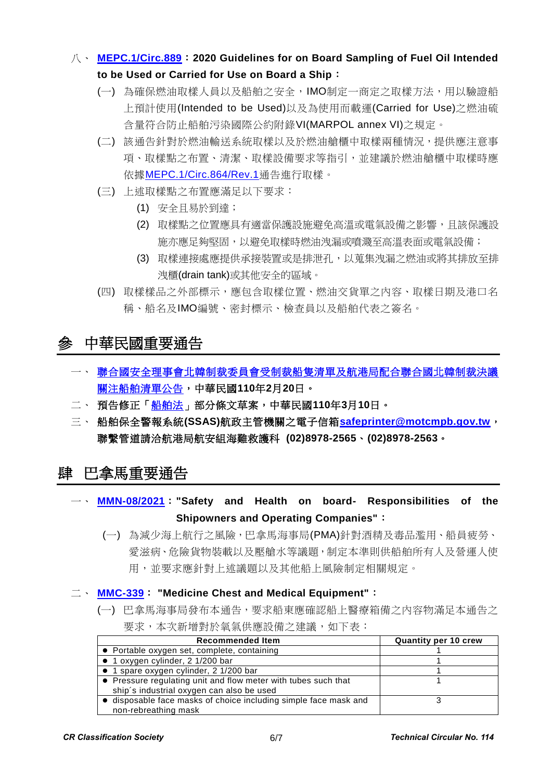- 八、 **[MEPC.1/Circ.889](https://www.crclass.org/chinese/download/ti-tc/114/2-8%20MEPC.1-Circ.889%20-%202020%20Guidelines%20For%20On%20Board%20Sampling%20Of%20Fuel%20Oil%20Intended%20To%20Be%20UsedOr%20Carried%20For%20Use%20On...%20(Secretariat).pdf)**:**2020 Guidelines for on Board Sampling of Fuel Oil Intended to be Used or Carried for Use on Board a Ship**:
	- (一) 為確保燃油取樣人員以及船舶之安全,IMO制定一商定之取樣方法,用以驗證船 上預計使用(Intended to be Used)以及為使用而載運(Carried for Use)之燃油硫 含量符合防止船舶污染國際公約附錄VI(MARPOL annex VI)之規定。
	- (二) 該通告針對於燃油輸送系統取樣以及於燃油艙櫃中取樣兩種情況,提供應注意事 項、取樣點之布置、清潔、取樣設備要求等指引,並建議於燃油艙櫃中取樣時應 依據[MEPC.1/Circ.864/Rev.1](https://www.crclass.org/chinese/download/ti-tc/114/2-9%20MEPC.1-Circ.864-Rev.1.pdf)通告進行取樣。
	- (三) 上述取樣點之布置應滿足以下要求:
		- (1) 安全且易於到達;
		- (2) 取樣點之位置應具有適當保護設施避免高溫或電氣設備之影響,且該保護設 施亦應足夠堅固,以避免取樣時燃油洩漏或噴濺至高溫表面或電氣設備;
		- (3) 取樣連接處應提供承接業置或是排泄孔,以蒐集洩漏之燃油或將其排放至排 洩櫃(drain tank)或其他安全的區域。
	- (四) 取樣樣品之外部標示,應包含取樣位置、燃油交貨單之內容、取樣日期及港口名 稱、船名及IMO編號、密封標示、檢查員以及船舶代表之簽名。

# 參 中華民國重要通告

- 一、 [聯合國安全理事會北韓制裁委員會受制裁船隻清單及航港局配合聯合國北韓制裁決議](https://www.motcmpb.gov.tw/Information/Detail/cfc09406-61f5-4462-a7ee-4bb3de2fdab0?SiteId=1&NodeId=103) [關注船舶清單公告,](https://www.motcmpb.gov.tw/Information/Detail/cfc09406-61f5-4462-a7ee-4bb3de2fdab0?SiteId=1&NodeId=103)中華民國**110**年**2**月**20**日。
- 二、 預告修正[「船舶法」](https://odmdoc.motc.gov.tw/IFDEWebBBS_MOTC/ExternalBBS.aspx?ThirdDocId=110RD01132)部分條文草案,中華民國**110**年**3**月**10**日。
- 三、 船舶保全警報系統**(SSAS)**航政主管機關之電子信箱**[safeprinter@motcmpb.gov.tw](mailto:safeprinter@motcmpb.gov.tw)**, 聯繫管道請洽航港局航安組海難救護科 **(02)8978-2565**、**(02)8978-2563**。

# 肆 巴拿馬重要通告

- 一、 **[MMN-08/2021](https://www.crclass.org/chinese/download/ti-tc/114/4-1%20MMN-08-2021-Safety-and-Health-on-board-Responsibilities-of-the-Shipowners-and-Operating-Companies.2021-1.pdf)**:**"Safety and Health on board- Responsibilities of the Shipowners and Operating Companies"**:
	- (一) 為減少海上航行之風險,巴拿馬海事局(PMA)針對酒精及毒品濫用、船員疲勞、 愛滋病、危險貨物裝載以及壓艙水等議題,制定本準則供船舶所有人及營運人使 用,並要求應針對上述議題以及其他船上風險制定相關規定。
- 二、 **[MMC-339](https://www.crclass.org/chinese/download/ti-tc/114/4-2%20MMC-339-MEDICINE-CHEST-AND-MEDICAL-EQUIPMENT.MARCH_.2021-rev.RB_.pdf)**: **"Medicine Chest and Medical Equipment"**:
	- (一) 巴拿馬海事局發布本通告,要求船東應確認船上醫療箱備之內容物滿足本通告之 要求,本次新增對於氧氣供應設備之建議,如下表:

| <b>Recommended Item</b>                                          | <b>Quantity per 10 crew</b> |
|------------------------------------------------------------------|-----------------------------|
| • Portable oxygen set, complete, containing                      |                             |
| $\bullet$ 1 oxygen cylinder, 2 1/200 bar                         |                             |
| • 1 spare oxygen cylinder, 2 1/200 bar                           |                             |
| • Pressure regulating unit and flow meter with tubes such that   |                             |
| ship's industrial oxygen can also be used                        |                             |
| • disposable face masks of choice including simple face mask and |                             |
| non-rebreathing mask                                             |                             |